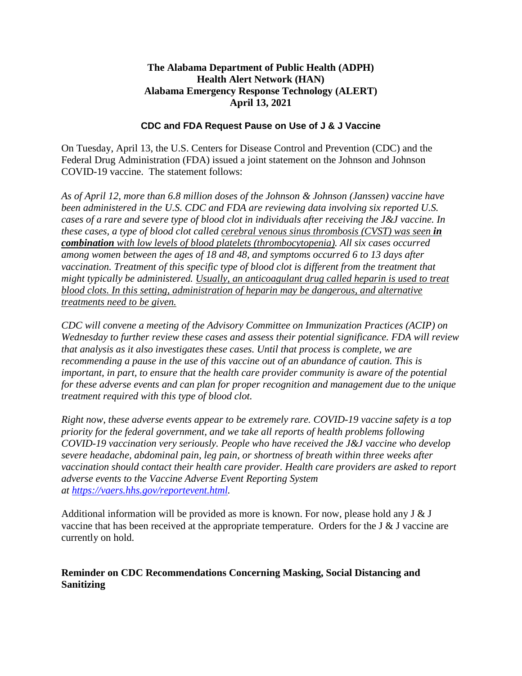## **The Alabama Department of Public Health (ADPH) Health Alert Network (HAN) Alabama Emergency Response Technology (ALERT) April 13, 2021**

## **CDC and FDA Request Pause on Use of J & J Vaccine**

On Tuesday, April 13, the U.S. Centers for Disease Control and Prevention (CDC) and the Federal Drug Administration (FDA) issued a joint statement on the Johnson and Johnson COVID-19 vaccine. The statement follows:

*As of April 12, more than 6.8 million doses of the Johnson & Johnson (Janssen) vaccine have been administered in the U.S. CDC and FDA are reviewing data involving six reported U.S. cases of a rare and severe type of blood clot in individuals after receiving the J&J vaccine. In these cases, a type of blood clot called cerebral venous sinus thrombosis (CVST) was seen in combination with low levels of blood platelets (thrombocytopenia). All six cases occurred among women between the ages of 18 and 48, and symptoms occurred 6 to 13 days after vaccination. Treatment of this specific type of blood clot is different from the treatment that might typically be administered. Usually, an anticoagulant drug called heparin is used to treat blood clots. In this setting, administration of heparin may be dangerous, and alternative treatments need to be given.*

*CDC will convene a meeting of the Advisory Committee on Immunization Practices (ACIP) on Wednesday to further review these cases and assess their potential significance. FDA will review that analysis as it also investigates these cases. Until that process is complete, we are recommending a pause in the use of this vaccine out of an abundance of caution. This is important, in part, to ensure that the health care provider community is aware of the potential for these adverse events and can plan for proper recognition and management due to the unique treatment required with this type of blood clot.*

*Right now, these adverse events appear to be extremely rare. COVID-19 vaccine safety is a top priority for the federal government, and we take all reports of health problems following COVID-19 vaccination very seriously. People who have received the J&J vaccine who develop severe headache, abdominal pain, leg pain, or shortness of breath within three weeks after vaccination should contact their health care provider. Health care providers are asked to report adverse events to the Vaccine Adverse Event Reporting System at [https://vaers.hhs.gov/reportevent.html.](https://vaers.hhs.gov/reportevent.html)*

Additional information will be provided as more is known. For now, please hold any  $J \& J$ vaccine that has been received at the appropriate temperature. Orders for the J & J vaccine are currently on hold.

## **Reminder on CDC Recommendations Concerning Masking, Social Distancing and Sanitizing**